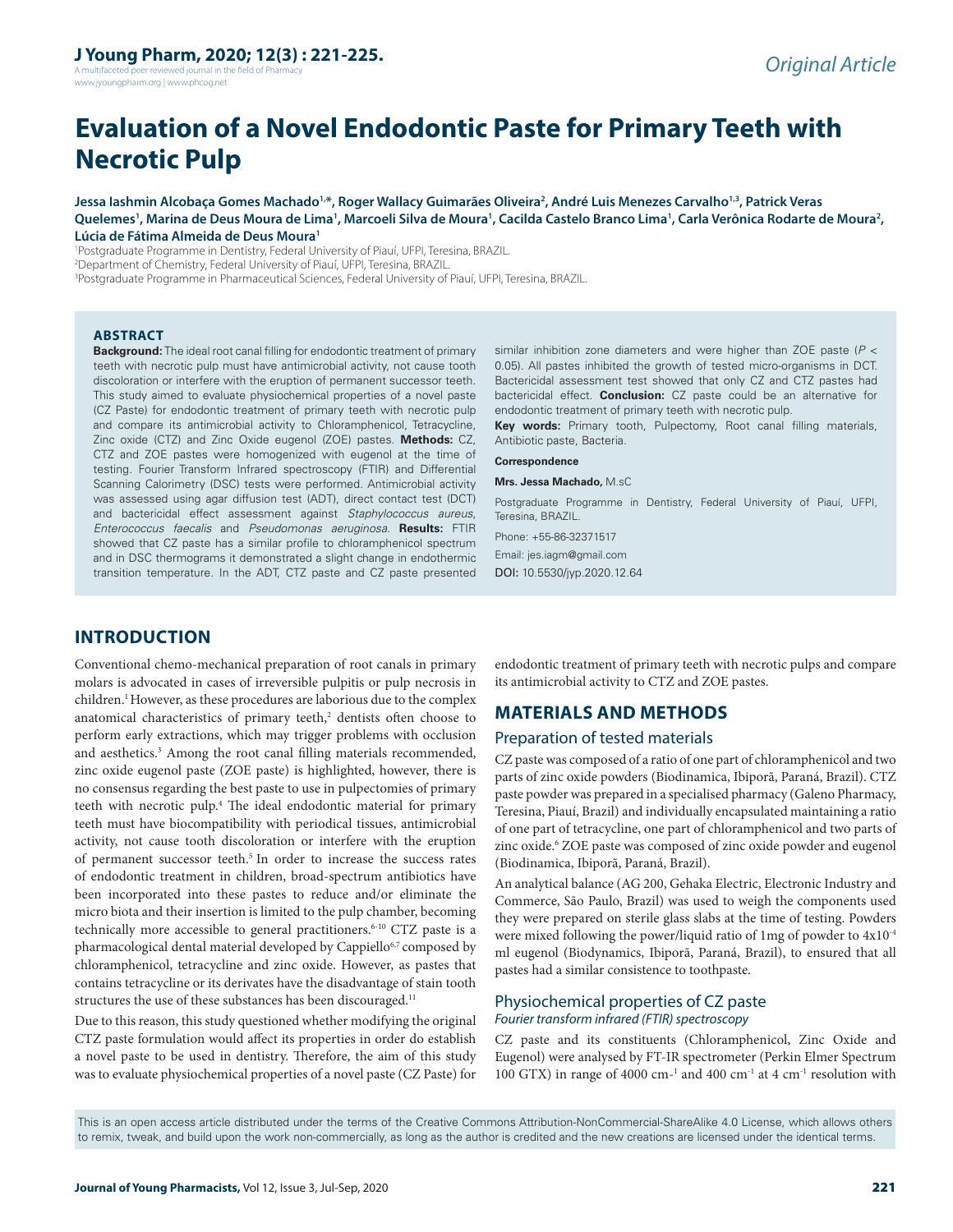A multifaceted peer reviewed journal in the field of Pharm www.jyoungpharm.org | www.phcog.net

# **Evaluation of a Novel Endodontic Paste for Primary Teeth with Necrotic Pulp**

**Jessa Iashmin Alcobaça Gomes Machado1,\*, Roger Wallacy Guimarães Oliveira2 , André Luis Menezes Carvalho1,3, Patrick Veras**  Quelemes', Marina de Deus Moura de Lima', Marcoeli Silva de Moura', Cacilda Castelo Branco Lima', Carla Verônica Rodarte de Moura<del>'</del>, **Lúcia de Fátima Almeida de Deus Moura1**

1 Postgraduate Programme in Dentistry, Federal University of Piauí, UFPI, Teresina, BRAZIL. 2 Department of Chemistry, Federal University of Piauí, UFPI, Teresina, BRAZIL. 3 Postgraduate Programme in Pharmaceutical Sciences, Federal University of Piauí, UFPI, Teresina, BRAZIL.

#### **ABSTRACT**

**Background:** The ideal root canal filling for endodontic treatment of primary teeth with necrotic pulp must have antimicrobial activity, not cause tooth discoloration or interfere with the eruption of permanent successor teeth. This study aimed to evaluate physiochemical properties of a novel paste (CZ Paste) for endodontic treatment of primary teeth with necrotic pulp and compare its antimicrobial activity to Chloramphenicol, Tetracycline, Zinc oxide (CTZ) and Zinc Oxide eugenol (ZOE) pastes. **Methods:** CZ, CTZ and ZOE pastes were homogenized with eugenol at the time of testing. Fourier Transform Infrared spectroscopy (FTIR) and Differential Scanning Calorimetry (DSC) tests were performed. Antimicrobial activity was assessed using agar diffusion test (ADT), direct contact test (DCT) and bactericidal effect assessment against *Staphylococcus aureus*, *Enterococcus faecalis* and *Pseudomonas aeruginosa*. **Results:** FTIR showed that CZ paste has a similar profile to chloramphenicol spectrum and in DSC thermograms it demonstrated a slight change in endothermic transition temperature. In the ADT, CTZ paste and CZ paste presented

similar inhibition zone diameters and were higher than ZOE paste (*P* < 0.05). All pastes inhibited the growth of tested micro-organisms in DCT. Bactericidal assessment test showed that only CZ and CTZ pastes had bactericidal effect. **Conclusion:** CZ paste could be an alternative for endodontic treatment of primary teeth with necrotic pulp.

**Key words:** Primary tooth, Pulpectomy, Root canal filling materials, Antibiotic paste, Bacteria.

#### **Correspondence**

**Mrs. Jessa Machado,** M.sC

Postgraduate Programme in Dentistry, Federal University of Piauí, UFPI, Teresina, BRAZIL.

Phone: +55-86-32371517 Email: jes.iagm@gmail.com DOI: 10.5530/jyp.2020.12.64

## **INTRODUCTION**

Conventional chemo-mechanical preparation of root canals in primary molars is advocated in cases of irreversible pulpitis or pulp necrosis in children.<sup>1</sup> However, as these procedures are laborious due to the complex anatomical characteristics of primary teeth,<sup>2</sup> dentists often choose to perform early extractions, which may trigger problems with occlusion and aesthetics.<sup>3</sup> Among the root canal filling materials recommended, zinc oxide eugenol paste (ZOE paste) is highlighted, however, there is no consensus regarding the best paste to use in pulpectomies of primary teeth with necrotic pulp.4 The ideal endodontic material for primary teeth must have biocompatibility with periodical tissues, antimicrobial activity, not cause tooth discoloration or interfere with the eruption of permanent successor teeth.5 In order to increase the success rates of endodontic treatment in children, broad-spectrum antibiotics have been incorporated into these pastes to reduce and/or eliminate the micro biota and their insertion is limited to the pulp chamber, becoming technically more accessible to general practitioners.<sup>6-10</sup> CTZ paste is a pharmacological dental material developed by Cappiello<sup>6,7</sup> composed by chloramphenicol, tetracycline and zinc oxide. However, as pastes that contains tetracycline or its derivates have the disadvantage of stain tooth structures the use of these substances has been discouraged.<sup>11</sup>

Due to this reason, this study questioned whether modifying the original CTZ paste formulation would affect its properties in order do establish a novel paste to be used in dentistry. Therefore, the aim of this study was to evaluate physiochemical properties of a novel paste (CZ Paste) for

endodontic treatment of primary teeth with necrotic pulps and compare its antimicrobial activity to CTZ and ZOE pastes.

## **MATERIALS AND METHODS**

#### Preparation of tested materials

CZ paste was composed of a ratio of one part of chloramphenicol and two parts of zinc oxide powders (Biodinamica, Ibiporã, Paraná, Brazil). CTZ paste powder was prepared in a specialised pharmacy (Galeno Pharmacy, Teresina, Piauí, Brazil) and individually encapsulated maintaining a ratio of one part of tetracycline, one part of chloramphenicol and two parts of zinc oxide.<sup>6</sup> ZOE paste was composed of zinc oxide powder and eugenol (Biodinamica, Ibiporã, Paraná, Brazil).

An analytical balance (AG 200, Gehaka Electric, Electronic Industry and Commerce, São Paulo, Brazil) was used to weigh the components used they were prepared on sterile glass slabs at the time of testing. Powders were mixed following the power/liquid ratio of 1mg of powder to 4x10-4 ml eugenol (Biodynamics, Ibiporã, Paraná, Brazil), to ensured that all pastes had a similar consistence to toothpaste.

## Physiochemical properties of CZ paste

*Fourier transform infrared (FTIR) spectroscopy*

CZ paste and its constituents (Chloramphenicol, Zinc Oxide and Eugenol) were analysed by FT-IR spectrometer (Perkin Elmer Spectrum 100 GTX) in range of 4000 cm<sup>-1</sup> and 400 cm<sup>-1</sup> at 4 cm<sup>-1</sup> resolution with

This is an open access article distributed under the terms of the Creative Commons Attribution-NonCommercial-ShareAlike 4.0 License, which allows others to remix, tweak, and build upon the work non-commercially, as long as the author is credited and the new creations are licensed under the identical terms.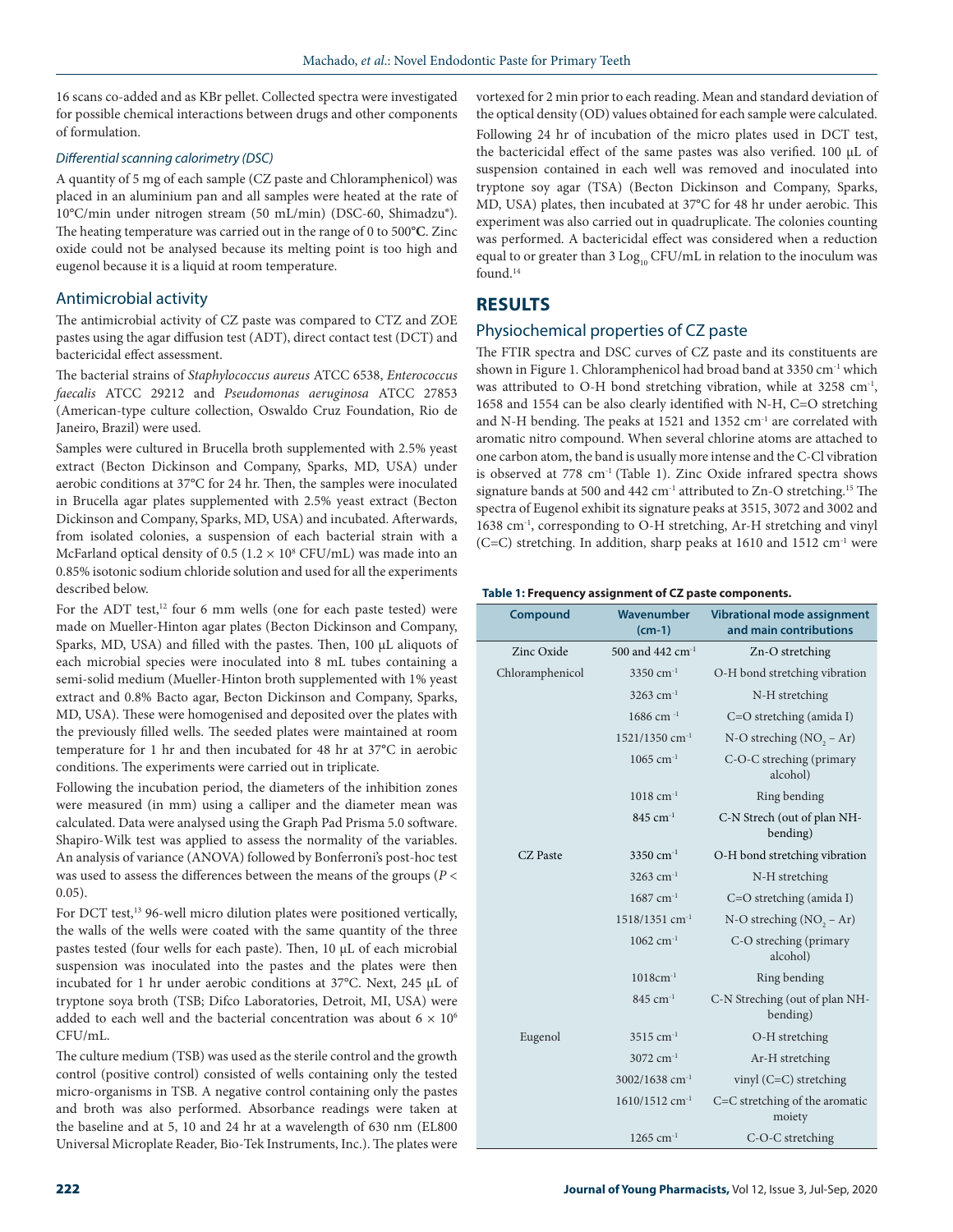16 scans co-added and as KBr pellet. Collected spectra were investigated for possible chemical interactions between drugs and other components of formulation.

#### *Differential scanning calorimetry (DSC)*

A quantity of 5 mg of each sample (CZ paste and Chloramphenicol) was placed in an aluminium pan and all samples were heated at the rate of 10°C/min under nitrogen stream (50 mL/min) (DSC-60, Shimadzu®). The heating temperature was carried out in the range of 0 to 500**°C**. Zinc oxide could not be analysed because its melting point is too high and eugenol because it is a liquid at room temperature.

### Antimicrobial activity

The antimicrobial activity of CZ paste was compared to CTZ and ZOE pastes using the agar diffusion test (ADT), direct contact test (DCT) and bactericidal effect assessment.

The bacterial strains of *Staphylococcus aureus* ATCC 6538, *Enterococcus faecalis* ATCC 29212 and *Pseudomonas aeruginosa* ATCC 27853 (American-type culture collection, Oswaldo Cruz Foundation, Rio de Janeiro, Brazil) were used.

Samples were cultured in Brucella broth supplemented with 2.5% yeast extract (Becton Dickinson and Company, Sparks, MD, USA) under aerobic conditions at 37°C for 24 hr. Then, the samples were inoculated in Brucella agar plates supplemented with 2.5% yeast extract (Becton Dickinson and Company, Sparks, MD, USA) and incubated. Afterwards, from isolated colonies, a suspension of each bacterial strain with a McFarland optical density of  $0.5$  ( $1.2 \times 10^8$  CFU/mL) was made into an 0.85% isotonic sodium chloride solution and used for all the experiments described below.

For the ADT test,<sup>12</sup> four 6 mm wells (one for each paste tested) were made on Mueller-Hinton agar plates (Becton Dickinson and Company, Sparks, MD, USA) and filled with the pastes. Then, 100 μL aliquots of each microbial species were inoculated into 8 mL tubes containing a semi-solid medium (Mueller-Hinton broth supplemented with 1% yeast extract and 0.8% Bacto agar, Becton Dickinson and Company, Sparks, MD, USA). These were homogenised and deposited over the plates with the previously filled wells. The seeded plates were maintained at room temperature for 1 hr and then incubated for 48 hr at 37**°**C in aerobic conditions. The experiments were carried out in triplicate.

Following the incubation period, the diameters of the inhibition zones were measured (in mm) using a calliper and the diameter mean was calculated. Data were analysed using the Graph Pad Prisma 5.0 software. Shapiro-Wilk test was applied to assess the normality of the variables. An analysis of variance (ANOVA) followed by Bonferroni's post-hoc test was used to assess the differences between the means of the groups (*P* < 0.05).

For DCT test,<sup>13</sup> 96-well micro dilution plates were positioned vertically, the walls of the wells were coated with the same quantity of the three pastes tested (four wells for each paste). Then, 10 μL of each microbial suspension was inoculated into the pastes and the plates were then incubated for 1 hr under aerobic conditions at 37°C. Next, 245 μL of tryptone soya broth (TSB; Difco Laboratories, Detroit, MI, USA) were added to each well and the bacterial concentration was about  $6 \times 10^6$ CFU/mL.

The culture medium (TSB) was used as the sterile control and the growth control (positive control) consisted of wells containing only the tested micro-organisms in TSB. A negative control containing only the pastes and broth was also performed. Absorbance readings were taken at the baseline and at 5, 10 and 24 hr at a wavelength of 630 nm (EL800 Universal Microplate Reader, Bio-Tek Instruments, Inc.). The plates were vortexed for 2 min prior to each reading. Mean and standard deviation of the optical density (OD) values obtained for each sample were calculated. Following 24 hr of incubation of the micro plates used in DCT test, the bactericidal effect of the same pastes was also verified. 100 μL of suspension contained in each well was removed and inoculated into tryptone soy agar (TSA) (Becton Dickinson and Company, Sparks, MD, USA) plates, then incubated at 37**°**C for 48 hr under aerobic. This experiment was also carried out in quadruplicate. The colonies counting was performed. A bactericidal effect was considered when a reduction equal to or greater than  $3$  Log<sub>10</sub> CFU/mL in relation to the inoculum was found.14

## **RESULTS**

## Physiochemical properties of CZ paste

The FTIR spectra and DSC curves of CZ paste and its constituents are shown in Figure 1. Chloramphenicol had broad band at 3350 cm<sup>-1</sup> which was attributed to O-H bond stretching vibration, while at 3258 cm<sup>-1</sup>, 1658 and 1554 can be also clearly identified with N-H, C=O stretching and N-H bending. The peaks at 1521 and 1352 cm-1 are correlated with aromatic nitro compound. When several chlorine atoms are attached to one carbon atom, the band is usually more intense and the C-Cl vibration is observed at 778 cm<sup>-1</sup> (Table 1). Zinc Oxide infrared spectra shows signature bands at 500 and 442 cm<sup>-1</sup> attributed to Zn-O stretching.<sup>15</sup> The spectra of Eugenol exhibit its signature peaks at 3515, 3072 and 3002 and 1638 cm-1, corresponding to O-H stretching, Ar-H stretching and vinyl (C=C) stretching. In addition, sharp peaks at  $1610$  and  $1512$  cm<sup>-1</sup> were

#### **Table 1: Frequency assignment of CZ paste components.**

| <b>Compound</b> | Wavenumber<br>$(cm-1)$       | <b>Vibrational mode assignment</b><br>and main contributions |
|-----------------|------------------------------|--------------------------------------------------------------|
| Zinc Oxide      | 500 and 442 cm <sup>-1</sup> | Zn-O stretching                                              |
| Chloramphenicol | 3350 $cm^{-1}$               | O-H bond stretching vibration                                |
|                 | 3263 cm <sup>-1</sup>        | N-H stretching                                               |
|                 | 1686 cm $^{-1}$              | $C=O$ stretching (amida I)                                   |
|                 | 1521/1350 cm <sup>-1</sup>   | N-O streching $(NO, -Ar)$                                    |
|                 | $1065$ cm <sup>-1</sup>      | C-O-C streching (primary<br>alcohol)                         |
|                 | $1018$ cm <sup>-1</sup>      | Ring bending                                                 |
|                 | $845$ cm <sup>-1</sup>       | C-N Strech (out of plan NH-<br>bending)                      |
| CZ Paste        | 3350 cm <sup>-1</sup>        | O-H bond stretching vibration                                |
|                 | 3263 cm <sup>-1</sup>        | N-H stretching                                               |
|                 | $1687$ cm <sup>-1</sup>      | $C=O$ stretching (amida I)                                   |
|                 | $1518/1351$ cm <sup>-1</sup> | N-O streching $(NO2 - Ar)$                                   |
|                 | $1062$ cm <sup>-1</sup>      | C-O streching (primary<br>alcohol)                           |
|                 | $1018cm^{-1}$                | Ring bending                                                 |
|                 | $845$ cm <sup>-1</sup>       | C-N Streching (out of plan NH-<br>bending)                   |
| Eugenol         | $3515$ cm <sup>-1</sup>      | O-H stretching                                               |
|                 | 3072 cm <sup>-1</sup>        | Ar-H stretching                                              |
|                 | 3002/1638 cm <sup>-1</sup>   | vinyl $(C=C)$ stretching                                     |
|                 | 1610/1512 cm <sup>-1</sup>   | C=C stretching of the aromatic<br>moiety                     |
|                 | $1265$ cm <sup>-1</sup>      | C-O-C stretching                                             |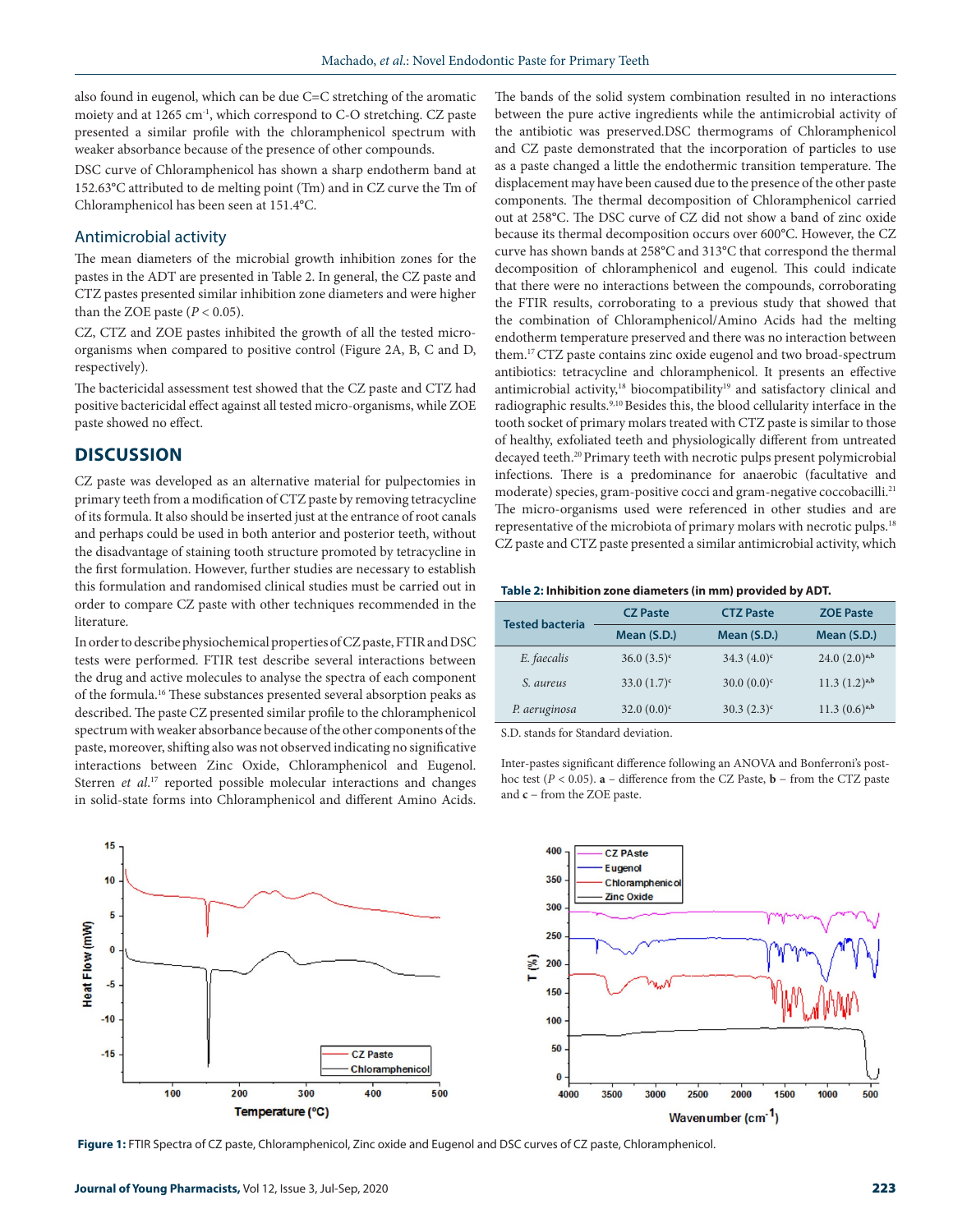also found in eugenol, which can be due C=C stretching of the aromatic moiety and at 1265 cm<sup>-1</sup>, which correspond to C-O stretching. CZ paste presented a similar profile with the chloramphenicol spectrum with weaker absorbance because of the presence of other compounds.

DSC curve of Chloramphenicol has shown a sharp endotherm band at 152.63**°**C attributed to de melting point (Tm) and in CZ curve the Tm of Chloramphenicol has been seen at 151.4**°**C.

#### Antimicrobial activity

The mean diameters of the microbial growth inhibition zones for the pastes in the ADT are presented in Table 2. In general, the CZ paste and CTZ pastes presented similar inhibition zone diameters and were higher than the ZOE paste  $(P < 0.05)$ .

CZ, CTZ and ZOE pastes inhibited the growth of all the tested microorganisms when compared to positive control (Figure 2A, B, C and D, respectively).

The bactericidal assessment test showed that the CZ paste and CTZ had positive bactericidal effect against all tested micro-organisms, while ZOE paste showed no effect.

## **DISCUSSION**

CZ paste was developed as an alternative material for pulpectomies in primary teeth from a modification of CTZ paste by removing tetracycline of its formula. It also should be inserted just at the entrance of root canals and perhaps could be used in both anterior and posterior teeth, without the disadvantage of staining tooth structure promoted by tetracycline in the first formulation. However, further studies are necessary to establish this formulation and randomised clinical studies must be carried out in order to compare CZ paste with other techniques recommended in the literature.

In order to describe physiochemical properties of CZ paste, FTIR and DSC tests were performed. FTIR test describe several interactions between the drug and active molecules to analyse the spectra of each component of the formula.16 These substances presented several absorption peaks as described. The paste CZ presented similar profile to the chloramphenicol spectrum with weaker absorbance because of the other components of the paste, moreover, shifting also was not observed indicating no significative interactions between Zinc Oxide, Chloramphenicol and Eugenol. Sterren et al.<sup>17</sup> reported possible molecular interactions and changes in solid-state forms into Chloramphenicol and different Amino Acids.

The bands of the solid system combination resulted in no interactions between the pure active ingredients while the antimicrobial activity of the antibiotic was preserved.DSC thermograms of Chloramphenicol and CZ paste demonstrated that the incorporation of particles to use as a paste changed a little the endothermic transition temperature. The displacement may have been caused due to the presence of the other paste components. The thermal decomposition of Chloramphenicol carried out at 258**°**C. The DSC curve of CZ did not show a band of zinc oxide because its thermal decomposition occurs over 600**°**C. However, the CZ curve has shown bands at 258**°**C and 313**°**C that correspond the thermal decomposition of chloramphenicol and eugenol. This could indicate that there were no interactions between the compounds, corroborating the FTIR results, corroborating to a previous study that showed that the combination of Chloramphenicol/Amino Acids had the melting endotherm temperature preserved and there was no interaction between them.17 CTZ paste contains zinc oxide eugenol and two broad-spectrum antibiotics: tetracycline and chloramphenicol. It presents an effective antimicrobial activity,<sup>18</sup> biocompatibility<sup>19</sup> and satisfactory clinical and radiographic results.9,10 Besides this, the blood cellularity interface in the tooth socket of primary molars treated with CTZ paste is similar to those of healthy, exfoliated teeth and physiologically different from untreated decayed teeth.20 Primary teeth with necrotic pulps present polymicrobial infections. There is a predominance for anaerobic (facultative and moderate) species, gram-positive cocci and gram-negative coccobacilli.<sup>21</sup> The micro-organisms used were referenced in other studies and are representative of the microbiota of primary molars with necrotic pulps.18 CZ paste and CTZ paste presented a similar antimicrobial activity, which

#### **Table 2: Inhibition zone diameters (in mm) provided by ADT.**

| <b>Tested bacteria</b> | <b>CZ Paste</b> | <b>CTZ Paste</b> | <b>ZOE Paste</b>   |
|------------------------|-----------------|------------------|--------------------|
|                        | Mean (S.D.)     | Mean (S.D.)      | Mean (S.D.)        |
| E. faecalis            | $36.0(3.5)^c$   | $34.3 (4.0)^c$   | $24.0(2.0)^{a,b}$  |
| S. aureus              | $33.0(1.7)^c$   | $30.0(0.0)^c$    | $11.3 (1.2)^{a,b}$ |
| P. aeruginosa          | $32.0(0.0)^c$   | $30.3(2.3)^c$    | $11.3 (0.6)^{a,b}$ |

S.D. stands for Standard deviation.

Inter-pastes significant difference following an ANOVA and Bonferroni's posthoc test (*P* < 0.05). **a** – difference from the CZ Paste, **b** − from the CTZ paste and **c** − from the ZOE paste.



**Figure 1:** FTIR Spectra of CZ paste, Chloramphenicol, Zinc oxide and Eugenol and DSC curves of CZ paste, Chloramphenicol.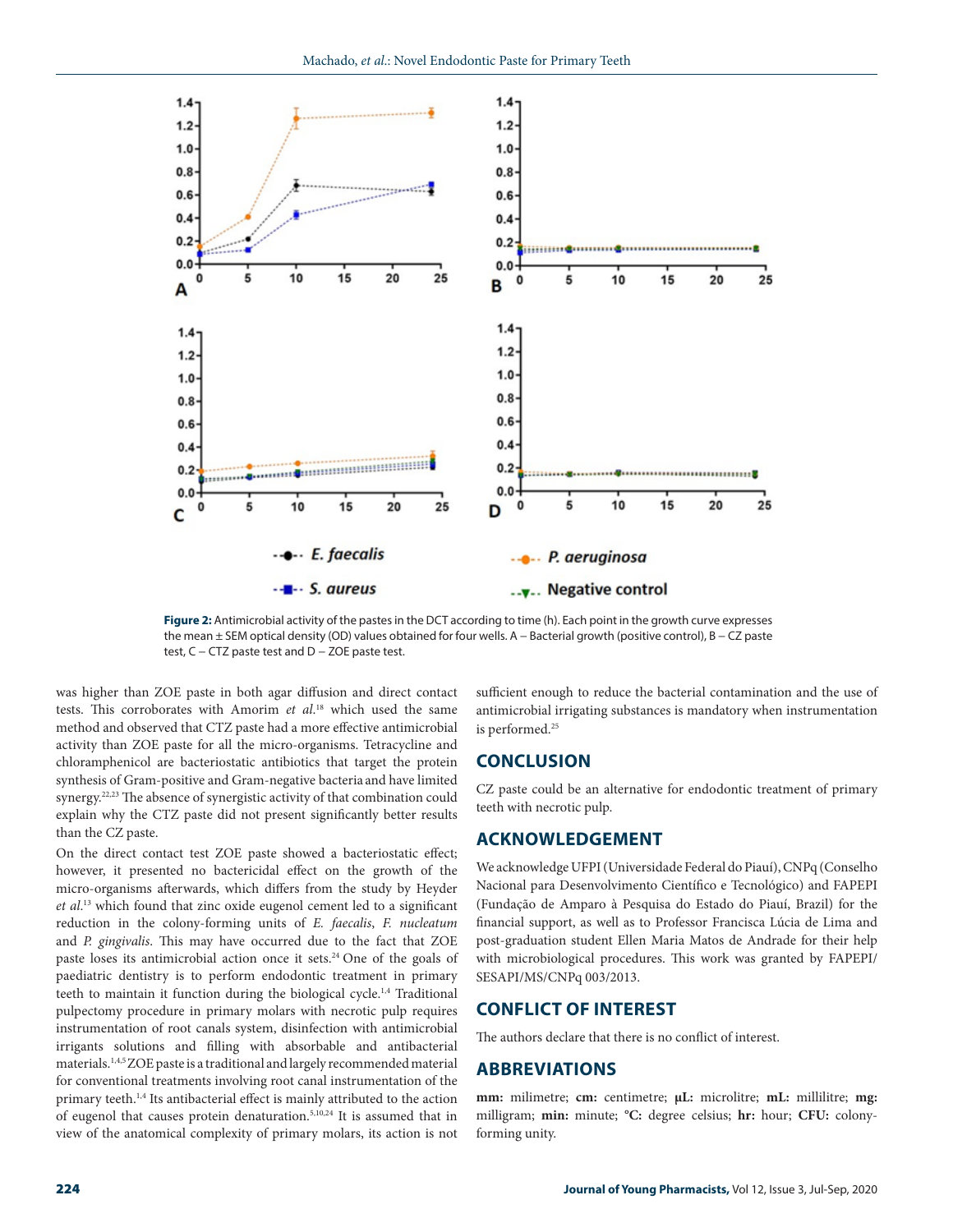

**Figure 2:** Antimicrobial activity of the pastes in the DCT according to time (h). Each point in the growth curve expresses the mean ± SEM optical density (OD) values obtained for four wells. A − Bacterial growth (positive control), B − CZ paste test, C – CTZ paste test and D – ZOE paste test.

was higher than ZOE paste in both agar diffusion and direct contact tests. This corroborates with Amorim *et al*. 18 which used the same method and observed that CTZ paste had a more effective antimicrobial activity than ZOE paste for all the micro-organisms. Tetracycline and chloramphenicol are bacteriostatic antibiotics that target the protein synthesis of Gram-positive and Gram-negative bacteria and have limited synergy.<sup>22,23</sup> The absence of synergistic activity of that combination could explain why the CTZ paste did not present significantly better results than the CZ paste.

On the direct contact test ZOE paste showed a bacteriostatic effect; however, it presented no bactericidal effect on the growth of the micro-organisms afterwards, which differs from the study by Heyder *et al*. 13 which found that zinc oxide eugenol cement led to a significant reduction in the colony-forming units of *E. faecalis*, *F. nucleatum* and *P. gingivalis*. This may have occurred due to the fact that ZOE paste loses its antimicrobial action once it sets.<sup>24</sup> One of the goals of paediatric dentistry is to perform endodontic treatment in primary teeth to maintain it function during the biological cycle.<sup>1,4</sup> Traditional pulpectomy procedure in primary molars with necrotic pulp requires instrumentation of root canals system, disinfection with antimicrobial irrigants solutions and filling with absorbable and antibacterial materials.1,4,5 ZOE paste is a traditional and largely recommended material for conventional treatments involving root canal instrumentation of the primary teeth.<sup>1,4</sup> Its antibacterial effect is mainly attributed to the action of eugenol that causes protein denaturation.5,10,24 It is assumed that in view of the anatomical complexity of primary molars, its action is not

sufficient enough to reduce the bacterial contamination and the use of antimicrobial irrigating substances is mandatory when instrumentation is performed.<sup>25</sup>

## **CONCLUSION**

CZ paste could be an alternative for endodontic treatment of primary teeth with necrotic pulp.

## **ACKNOWLEDGEMENT**

We acknowledge UFPI (Universidade Federal do Piauí), CNPq (Conselho Nacional para Desenvolvimento Científico e Tecnológico) and FAPEPI (Fundação de Amparo à Pesquisa do Estado do Piauí, Brazil) for the financial support, as well as to Professor Francisca Lúcia de Lima and post-graduation student Ellen Maria Matos de Andrade for their help with microbiological procedures. This work was granted by FAPEPI/ SESAPI/MS/CNPq 003/2013.

#### **CONFLICT OF INTEREST**

The authors declare that there is no conflict of interest.

## **ABBREVIATIONS**

**mm:** milimetre; **cm:** centimetre; **μL:** microlitre; **mL:** millilitre; **mg:**  milligram; **min:** minute; **°C:** degree celsius; **hr:** hour; **CFU:** colonyforming unity.